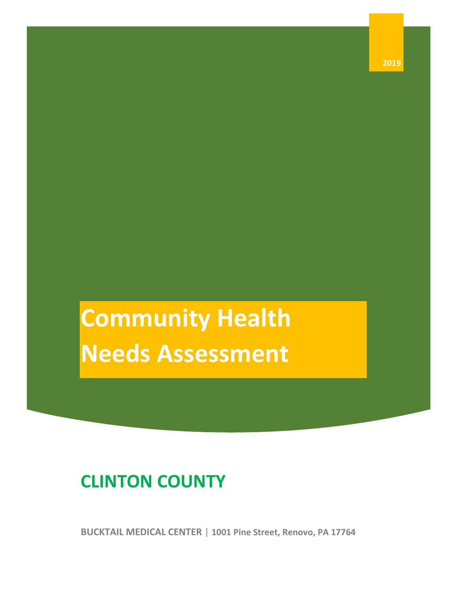**Community Health Needs Assessment**

# **CLINTON COUNTY**

**BUCKTAIL MEDICAL CENTER** | **1001 Pine Street, Renovo, PA 17764**

**2019**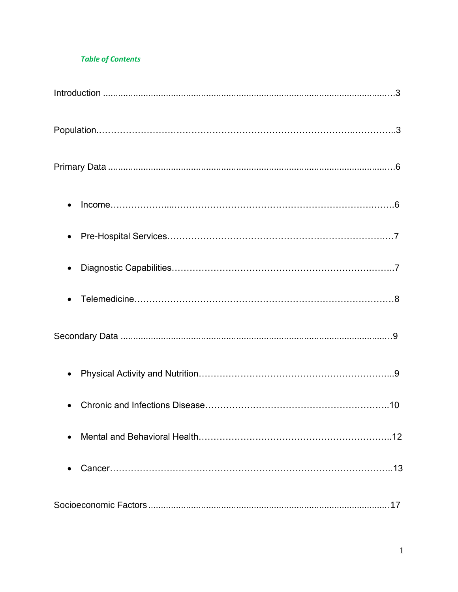#### **Table of Contents**

| 17 |
|----|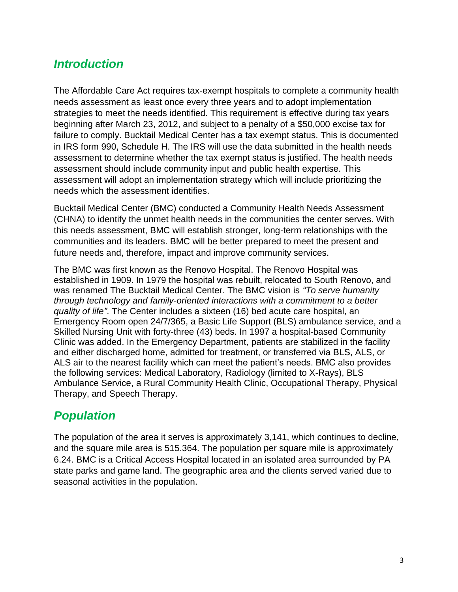# *Introduction*

The Affordable Care Act requires tax-exempt hospitals to complete a community health needs assessment as least once every three years and to adopt implementation strategies to meet the needs identified. This requirement is effective during tax years beginning after March 23, 2012, and subject to a penalty of a \$50,000 excise tax for failure to comply. Bucktail Medical Center has a tax exempt status. This is documented in IRS form 990, Schedule H. The IRS will use the data submitted in the health needs assessment to determine whether the tax exempt status is justified. The health needs assessment should include community input and public health expertise. This assessment will adopt an implementation strategy which will include prioritizing the needs which the assessment identifies.

Bucktail Medical Center (BMC) conducted a Community Health Needs Assessment (CHNA) to identify the unmet health needs in the communities the center serves. With this needs assessment, BMC will establish stronger, long-term relationships with the communities and its leaders. BMC will be better prepared to meet the present and future needs and, therefore, impact and improve community services.

The BMC was first known as the Renovo Hospital. The Renovo Hospital was established in 1909. In 1979 the hospital was rebuilt, relocated to South Renovo, and was renamed The Bucktail Medical Center. The BMC vision is *"To serve humanity through technology and family-oriented interactions with a commitment to a better quality of life"*. The Center includes a sixteen (16) bed acute care hospital, an Emergency Room open 24/7/365, a Basic Life Support (BLS) ambulance service, and a Skilled Nursing Unit with forty-three (43) beds. In 1997 a hospital-based Community Clinic was added. In the Emergency Department, patients are stabilized in the facility and either discharged home, admitted for treatment, or transferred via BLS, ALS, or ALS air to the nearest facility which can meet the patient's needs. BMC also provides the following services: Medical Laboratory, Radiology (limited to X-Rays), BLS Ambulance Service, a Rural Community Health Clinic, Occupational Therapy, Physical Therapy, and Speech Therapy.

# *Population*

The population of the area it serves is approximately 3,141, which continues to decline, and the square mile area is 515.364. The population per square mile is approximately 6.24. BMC is a Critical Access Hospital located in an isolated area surrounded by PA state parks and game land. The geographic area and the clients served varied due to seasonal activities in the population.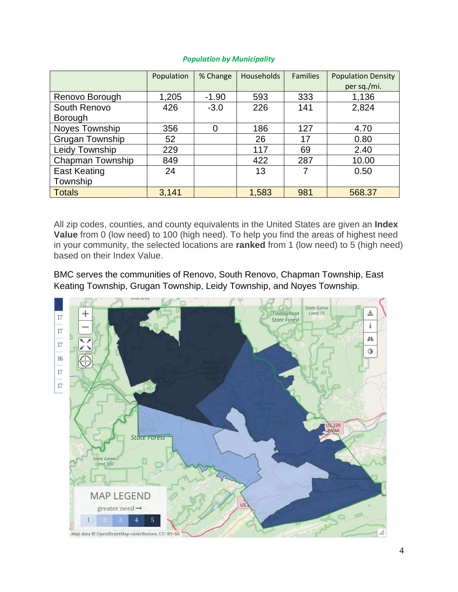|                         | Population | % Change | <b>Households</b> | <b>Families</b> | <b>Population Density</b> |
|-------------------------|------------|----------|-------------------|-----------------|---------------------------|
|                         |            |          |                   |                 | per sq./mi.               |
| Renovo Borough          | 1,205      | $-1.90$  | 593               | 333             | 1,136                     |
| South Renovo            | 426        | $-3.0$   | 226               | 141             | 2,824                     |
| Borough                 |            |          |                   |                 |                           |
| Noyes Township          | 356        | 0        | 186               | 127             | 4.70                      |
| <b>Grugan Township</b>  | 52         |          | 26                | 17              | 0.80                      |
| Leidy Township          | 229        |          | 117               | 69              | 2.40                      |
| <b>Chapman Township</b> | 849        |          | 422               | 287             | 10.00                     |
| <b>East Keating</b>     | 24         |          | 13                | 7               | 0.50                      |
| Township                |            |          |                   |                 |                           |
| <b>Totals</b>           | 3,141      |          | 1,583             | 981             | 568.37                    |

#### *Population by Municipality*

All zip codes, counties, and county equivalents in the United States are given an **Index Value** from 0 (low need) to 100 (high need). To help you find the areas of highest need in your community, the selected locations are **ranked** from 1 (low need) to 5 (high need) based on their Index Value.

BMC serves the communities of Renovo, South Renovo, Chapman Township, East Keating Township, Grugan Township, Leidy Township, and Noyes Township.

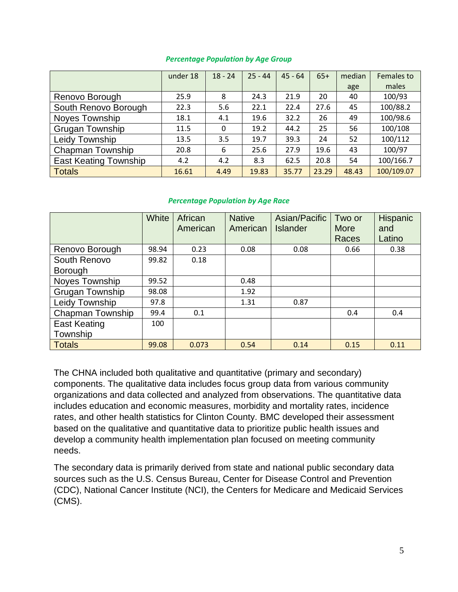#### *Percentage Population by Age Group*

|                              | under 18 | $18 - 24$ | $25 - 44$ | $45 - 64$ | $65+$ | median | Females to |
|------------------------------|----------|-----------|-----------|-----------|-------|--------|------------|
|                              |          |           |           |           |       | age    | males      |
| Renovo Borough               | 25.9     | 8         | 24.3      | 21.9      | 20    | 40     | 100/93     |
| South Renovo Borough         | 22.3     | 5.6       | 22.1      | 22.4      | 27.6  | 45     | 100/88.2   |
| <b>Noves Township</b>        | 18.1     | 4.1       | 19.6      | 32.2      | 26    | 49     | 100/98.6   |
| <b>Grugan Township</b>       | 11.5     | 0         | 19.2      | 44.2      | 25    | 56     | 100/108    |
| Leidy Township               | 13.5     | 3.5       | 19.7      | 39.3      | 24    | 52     | 100/112    |
| Chapman Township             | 20.8     | 6         | 25.6      | 27.9      | 19.6  | 43     | 100/97     |
| <b>East Keating Township</b> | 4.2      | 4.2       | 8.3       | 62.5      | 20.8  | 54     | 100/166.7  |
| <b>Totals</b>                | 16.61    | 4.49      | 19.83     | 35.77     | 23.29 | 48.43  | 100/109.07 |

#### *Percentage Population by Age Race*

|                        | White | African<br>American | <b>Native</b><br>American | Asian/Pacific<br><b>Islander</b> | Two or<br><b>More</b><br>Races | <b>Hispanic</b><br>and<br>Latino |
|------------------------|-------|---------------------|---------------------------|----------------------------------|--------------------------------|----------------------------------|
| Renovo Borough         | 98.94 | 0.23                | 0.08                      | 0.08                             | 0.66                           | 0.38                             |
| South Renovo           | 99.82 | 0.18                |                           |                                  |                                |                                  |
| <b>Borough</b>         |       |                     |                           |                                  |                                |                                  |
| Noyes Township         | 99.52 |                     | 0.48                      |                                  |                                |                                  |
| <b>Grugan Township</b> | 98.08 |                     | 1.92                      |                                  |                                |                                  |
| Leidy Township         | 97.8  |                     | 1.31                      | 0.87                             |                                |                                  |
| Chapman Township       | 99.4  | 0.1                 |                           |                                  | 0.4                            | 0.4                              |
| <b>East Keating</b>    | 100   |                     |                           |                                  |                                |                                  |
| Township               |       |                     |                           |                                  |                                |                                  |
| <b>Totals</b>          | 99.08 | 0.073               | 0.54                      | 0.14                             | 0.15                           | 0.11                             |

The CHNA included both qualitative and quantitative (primary and secondary) components. The qualitative data includes focus group data from various community organizations and data collected and analyzed from observations. The quantitative data includes education and economic measures, morbidity and mortality rates, incidence rates, and other health statistics for Clinton County. BMC developed their assessment based on the qualitative and quantitative data to prioritize public health issues and develop a community health implementation plan focused on meeting community needs.

The secondary data is primarily derived from state and national public secondary data sources such as the U.S. Census Bureau, Center for Disease Control and Prevention (CDC), National Cancer Institute (NCI), the Centers for Medicare and Medicaid Services (CMS).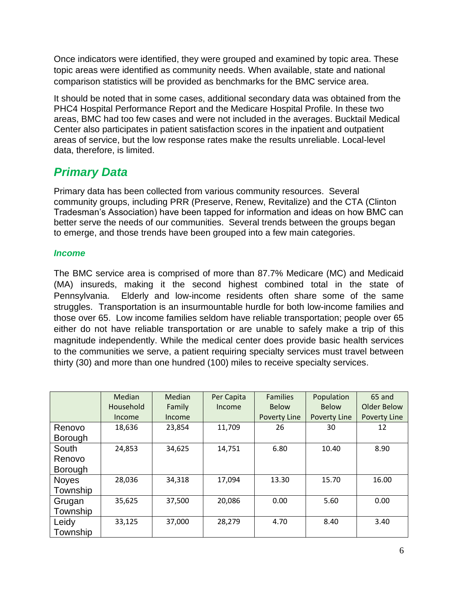Once indicators were identified, they were grouped and examined by topic area. These topic areas were identified as community needs. When available, state and national comparison statistics will be provided as benchmarks for the BMC service area.

It should be noted that in some cases, additional secondary data was obtained from the PHC4 Hospital Performance Report and the Medicare Hospital Profile. In these two areas, BMC had too few cases and were not included in the averages. Bucktail Medical Center also participates in patient satisfaction scores in the inpatient and outpatient areas of service, but the low response rates make the results unreliable. Local-level data, therefore, is limited.

# *Primary Data*

Primary data has been collected from various community resources. Several community groups, including PRR (Preserve, Renew, Revitalize) and the CTA (Clinton Tradesman's Association) have been tapped for information and ideas on how BMC can better serve the needs of our communities. Several trends between the groups began to emerge, and those trends have been grouped into a few main categories.

#### *Income*

The BMC service area is comprised of more than 87.7% Medicare (MC) and Medicaid (MA) insureds, making it the second highest combined total in the state of Pennsylvania. Elderly and low-income residents often share some of the same struggles. Transportation is an insurmountable hurdle for both low-income families and those over 65. Low income families seldom have reliable transportation; people over 65 either do not have reliable transportation or are unable to safely make a trip of this magnitude independently. While the medical center does provide basic health services to the communities we serve, a patient requiring specialty services must travel between thirty (30) and more than one hundred (100) miles to receive specialty services.

|                | Median    | Median | Per Capita | <b>Families</b> | Population          | 65 and       |
|----------------|-----------|--------|------------|-----------------|---------------------|--------------|
|                | Household | Family | Income     | <b>Below</b>    | <b>Below</b>        | Older Below  |
|                | Income    | Income |            | Poverty Line    | <b>Poverty Line</b> | Poverty Line |
| Renovo         | 18,636    | 23,854 | 11,709     | 26              | 30                  | 12           |
| <b>Borough</b> |           |        |            |                 |                     |              |
| South          | 24,853    | 34,625 | 14,751     | 6.80            | 10.40               | 8.90         |
| Renovo         |           |        |            |                 |                     |              |
| <b>Borough</b> |           |        |            |                 |                     |              |
| <b>Noyes</b>   | 28,036    | 34,318 | 17,094     | 13.30           | 15.70               | 16.00        |
| Township       |           |        |            |                 |                     |              |
| Grugan         | 35,625    | 37,500 | 20,086     | 0.00            | 5.60                | 0.00         |
| Township       |           |        |            |                 |                     |              |
| Leidy          | 33,125    | 37,000 | 28,279     | 4.70            | 8.40                | 3.40         |
| Township       |           |        |            |                 |                     |              |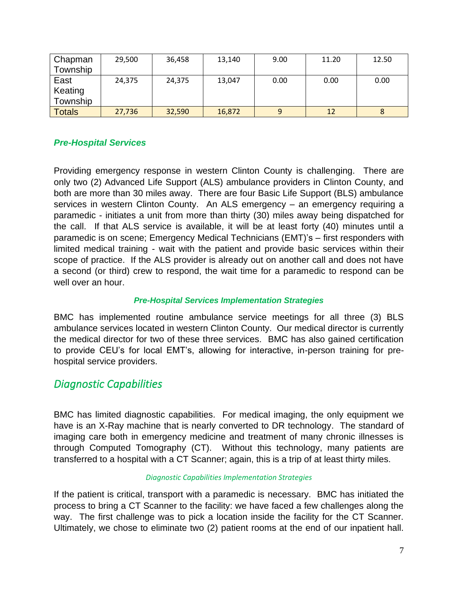| Chapman       | 29,500 | 36,458 | 13,140 | 9.00 | 11.20 | 12.50 |
|---------------|--------|--------|--------|------|-------|-------|
| Township      |        |        |        |      |       |       |
| East          | 24,375 | 24,375 | 13,047 | 0.00 | 0.00  | 0.00  |
| Keating       |        |        |        |      |       |       |
| Township      |        |        |        |      |       |       |
| <b>Totals</b> | 27,736 | 32,590 | 16,872 | 9    | 12    |       |

#### *Pre-Hospital Services*

Providing emergency response in western Clinton County is challenging. There are only two (2) Advanced Life Support (ALS) ambulance providers in Clinton County, and both are more than 30 miles away. There are four Basic Life Support (BLS) ambulance services in western Clinton County. An ALS emergency – an emergency requiring a paramedic - initiates a unit from more than thirty (30) miles away being dispatched for the call. If that ALS service is available, it will be at least forty (40) minutes until a paramedic is on scene; Emergency Medical Technicians (EMT)'s – first responders with limited medical training - wait with the patient and provide basic services within their scope of practice. If the ALS provider is already out on another call and does not have a second (or third) crew to respond, the wait time for a paramedic to respond can be well over an hour.

#### *Pre-Hospital Services Implementation Strategies*

BMC has implemented routine ambulance service meetings for all three (3) BLS ambulance services located in western Clinton County. Our medical director is currently the medical director for two of these three services. BMC has also gained certification to provide CEU's for local EMT's, allowing for interactive, in-person training for prehospital service providers.

### *Diagnostic Capabilities*

BMC has limited diagnostic capabilities. For medical imaging, the only equipment we have is an X-Ray machine that is nearly converted to DR technology. The standard of imaging care both in emergency medicine and treatment of many chronic illnesses is through Computed Tomography (CT). Without this technology, many patients are transferred to a hospital with a CT Scanner; again, this is a trip of at least thirty miles.

#### *Diagnostic Capabilities Implementation Strategies*

If the patient is critical, transport with a paramedic is necessary. BMC has initiated the process to bring a CT Scanner to the facility: we have faced a few challenges along the way. The first challenge was to pick a location inside the facility for the CT Scanner. Ultimately, we chose to eliminate two (2) patient rooms at the end of our inpatient hall.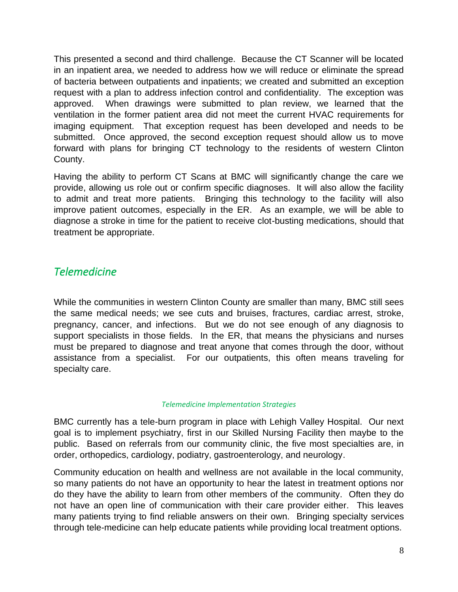This presented a second and third challenge. Because the CT Scanner will be located in an inpatient area, we needed to address how we will reduce or eliminate the spread of bacteria between outpatients and inpatients; we created and submitted an exception request with a plan to address infection control and confidentiality. The exception was approved. When drawings were submitted to plan review, we learned that the ventilation in the former patient area did not meet the current HVAC requirements for imaging equipment. That exception request has been developed and needs to be submitted. Once approved, the second exception request should allow us to move forward with plans for bringing CT technology to the residents of western Clinton County.

Having the ability to perform CT Scans at BMC will significantly change the care we provide, allowing us role out or confirm specific diagnoses. It will also allow the facility to admit and treat more patients. Bringing this technology to the facility will also improve patient outcomes, especially in the ER. As an example, we will be able to diagnose a stroke in time for the patient to receive clot-busting medications, should that treatment be appropriate.

### *Telemedicine*

While the communities in western Clinton County are smaller than many, BMC still sees the same medical needs; we see cuts and bruises, fractures, cardiac arrest, stroke, pregnancy, cancer, and infections. But we do not see enough of any diagnosis to support specialists in those fields. In the ER, that means the physicians and nurses must be prepared to diagnose and treat anyone that comes through the door, without assistance from a specialist. For our outpatients, this often means traveling for specialty care.

#### *Telemedicine Implementation Strategies*

BMC currently has a tele-burn program in place with Lehigh Valley Hospital. Our next goal is to implement psychiatry, first in our Skilled Nursing Facility then maybe to the public. Based on referrals from our community clinic, the five most specialties are, in order, orthopedics, cardiology, podiatry, gastroenterology, and neurology.

Community education on health and wellness are not available in the local community, so many patients do not have an opportunity to hear the latest in treatment options nor do they have the ability to learn from other members of the community. Often they do not have an open line of communication with their care provider either. This leaves many patients trying to find reliable answers on their own. Bringing specialty services through tele-medicine can help educate patients while providing local treatment options.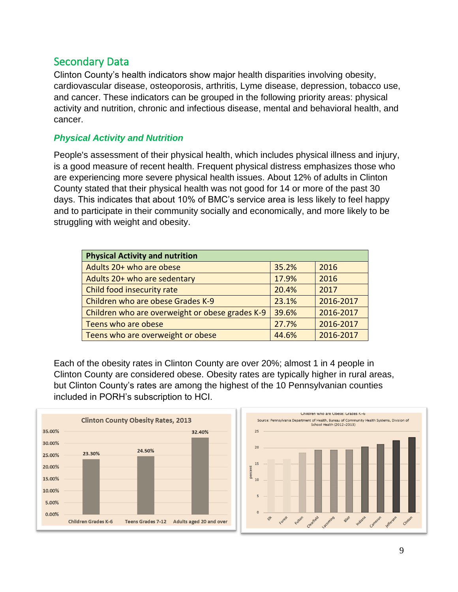### Secondary Data

Clinton County's health indicators show major health disparities involving obesity, cardiovascular disease, osteoporosis, arthritis, Lyme disease, depression, tobacco use, and cancer. These indicators can be grouped in the following priority areas: physical activity and nutrition, chronic and infectious disease, mental and behavioral health, and cancer.

#### *Physical Activity and Nutrition*

People's assessment of their physical health, which includes physical illness and injury, is a good measure of recent health. Frequent physical distress emphasizes those who are experiencing more severe physical health issues. About 12% of adults in Clinton County stated that their physical health was not good for 14 or more of the past 30 days. This indicates that about 10% of BMC's service area is less likely to feel happy and to participate in their community socially and economically, and more likely to be struggling with weight and obesity.

| <b>Physical Activity and nutrition</b>          |       |           |
|-------------------------------------------------|-------|-----------|
| Adults 20+ who are obese                        | 35.2% | 2016      |
| Adults 20+ who are sedentary                    | 17.9% | 2016      |
| Child food insecurity rate                      | 20.4% | 2017      |
| Children who are obese Grades K-9               | 23.1% | 2016-2017 |
| Children who are overweight or obese grades K-9 | 39.6% | 2016-2017 |
| Teens who are obese                             | 27.7% | 2016-2017 |
| Teens who are overweight or obese               | 44.6% | 2016-2017 |

Each of the obesity rates in Clinton County are over 20%; almost 1 in 4 people in Clinton County are considered obese. Obesity rates are typically higher in rural areas, but Clinton County's rates are among the highest of the 10 Pennsylvanian counties included in PORH's subscription to HCI.

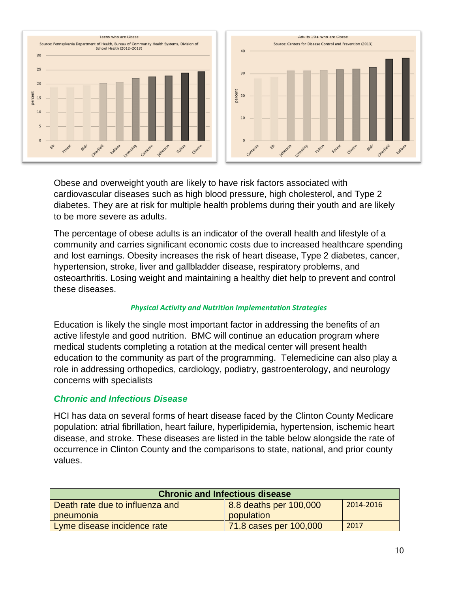

Obese and overweight youth are likely to have risk factors associated with cardiovascular diseases such as high blood pressure, high cholesterol, and Type 2 diabetes. They are at risk for multiple health problems during their youth and are likely to be more severe as adults.

The percentage of obese adults is an indicator of the overall health and lifestyle of a community and carries significant economic costs due to increased healthcare spending and lost earnings. Obesity increases the risk of heart disease, Type 2 diabetes, cancer, hypertension, stroke, liver and gallbladder disease, respiratory problems, and osteoarthritis. Losing weight and maintaining a healthy diet help to prevent and control these diseases.

#### *Physical Activity and Nutrition Implementation Strategies*

Education is likely the single most important factor in addressing the benefits of an active lifestyle and good nutrition. BMC will continue an education program where medical students completing a rotation at the medical center will present health education to the community as part of the programming. Telemedicine can also play a role in addressing orthopedics, cardiology, podiatry, gastroenterology, and neurology concerns with specialists

#### *Chronic and Infectious Disease*

HCI has data on several forms of heart disease faced by the Clinton County Medicare population: atrial fibrillation, heart failure, hyperlipidemia, hypertension, ischemic heart disease, and stroke. These diseases are listed in the table below alongside the rate of occurrence in Clinton County and the comparisons to state, national, and prior county values.

| <b>Chronic and Infectious disease</b> |                        |           |  |  |  |
|---------------------------------------|------------------------|-----------|--|--|--|
| Death rate due to influenza and       | 8.8 deaths per 100,000 | 2014-2016 |  |  |  |
| pneumonia                             | population             |           |  |  |  |
| Lyme disease incidence rate           | 71.8 cases per 100,000 | 2017      |  |  |  |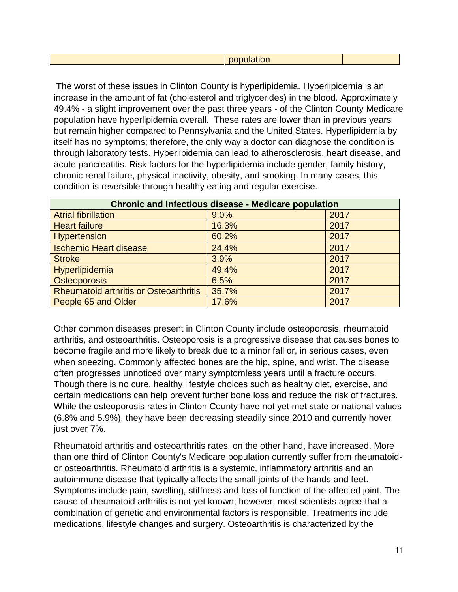The worst of these issues in Clinton County is hyperlipidemia. Hyperlipidemia is an increase in the amount of fat (cholesterol and triglycerides) in the blood. Approximately 49.4% - a slight improvement over the past three years - of the Clinton County Medicare population have hyperlipidemia overall. These rates are lower than in previous years but remain higher compared to Pennsylvania and the United States. Hyperlipidemia by itself has no symptoms; therefore, the only way a doctor can diagnose the condition is through laboratory tests. Hyperlipidemia can lead to atherosclerosis, heart disease, and acute pancreatitis. Risk factors for the hyperlipidemia include gender, family history, chronic renal failure, physical inactivity, obesity, and smoking. In many cases, this condition is reversible through healthy eating and regular exercise.

| <b>Chronic and Infectious disease - Medicare population</b> |       |      |  |  |  |
|-------------------------------------------------------------|-------|------|--|--|--|
| <b>Atrial fibrillation</b>                                  | 9.0%  | 2017 |  |  |  |
| <b>Heart failure</b>                                        | 16.3% | 2017 |  |  |  |
| <b>Hypertension</b>                                         | 60.2% | 2017 |  |  |  |
| <b>Ischemic Heart disease</b>                               | 24.4% | 2017 |  |  |  |
| <b>Stroke</b>                                               | 3.9%  | 2017 |  |  |  |
| Hyperlipidemia                                              | 49.4% | 2017 |  |  |  |
| <b>Osteoporosis</b>                                         | 6.5%  | 2017 |  |  |  |
| <b>Rheumatoid arthritis or Osteoarthritis</b>               | 35.7% | 2017 |  |  |  |
| People 65 and Older                                         | 17.6% | 2017 |  |  |  |

Other common diseases present in Clinton County include osteoporosis, rheumatoid arthritis, and osteoarthritis. Osteoporosis is a progressive disease that causes bones to become fragile and more likely to break due to a minor fall or, in serious cases, even when sneezing. Commonly affected bones are the hip, spine, and wrist. The disease often progresses unnoticed over many symptomless years until a fracture occurs. Though there is no cure, healthy lifestyle choices such as healthy diet, exercise, and certain medications can help prevent further bone loss and reduce the risk of fractures. While the osteoporosis rates in Clinton County have not yet met state or national values (6.8% and 5.9%), they have been decreasing steadily since 2010 and currently hover just over 7%.

Rheumatoid arthritis and osteoarthritis rates, on the other hand, have increased. More than one third of Clinton County's Medicare population currently suffer from rheumatoidor osteoarthritis. Rheumatoid arthritis is a systemic, inflammatory arthritis and an autoimmune disease that typically affects the small joints of the hands and feet. Symptoms include pain, swelling, stiffness and loss of function of the affected joint. The cause of rheumatoid arthritis is not yet known; however, most scientists agree that a combination of genetic and environmental factors is responsible. Treatments include medications, lifestyle changes and surgery. Osteoarthritis is characterized by the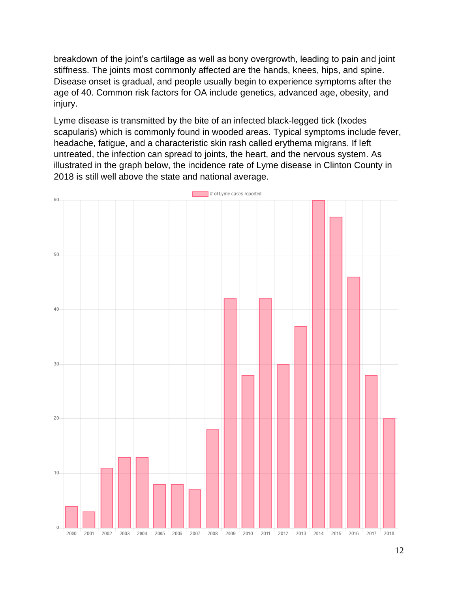breakdown of the joint's cartilage as well as bony overgrowth, leading to pain and joint stiffness. The joints most commonly affected are the hands, knees, hips, and spine. Disease onset is gradual, and people usually begin to experience symptoms after the age of 40. Common risk factors for OA include genetics, advanced age, obesity, and injury.

Lyme disease is transmitted by the bite of an infected black-legged tick (Ixodes scapularis) which is commonly found in wooded areas. Typical symptoms include fever, headache, fatigue, and a characteristic skin rash called erythema migrans. If left untreated, the infection can spread to joints, the heart, and the nervous system. As illustrated in the graph below, the incidence rate of Lyme disease in Clinton County in 2018 is still well above the state and national average.

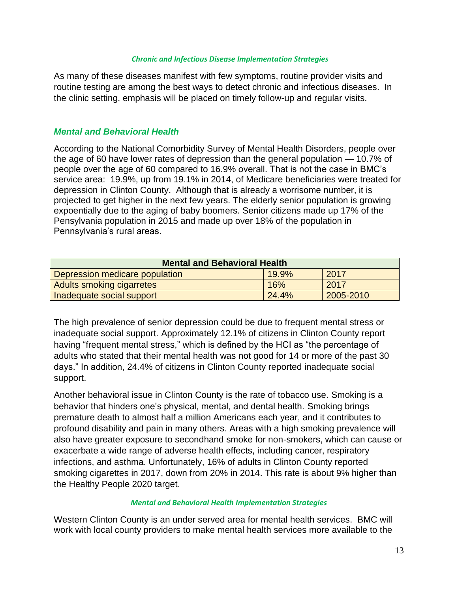#### *Chronic and Infectious Disease Implementation Strategies*

As many of these diseases manifest with few symptoms, routine provider visits and routine testing are among the best ways to detect chronic and infectious diseases. In the clinic setting, emphasis will be placed on timely follow-up and regular visits.

#### *Mental and Behavioral Health*

According to the National Comorbidity Survey of Mental Health Disorders, people over the age of 60 have lower rates of depression than the general population — 10.7% of people over the age of 60 compared to 16.9% overall. That is not the case in BMC's service area: 19.9%, up from 19.1% in 2014, of Medicare beneficiaries were treated for depression in Clinton County. Although that is already a worrisome number, it is projected to get higher in the next few years. The elderly senior population is growing expoentially due to the aging of baby boomers. Senior citizens made up 17% of the Pensylvania population in 2015 and made up over 18% of the population in Pennsylvania's rural areas.

| <b>Mental and Behavioral Health</b> |          |           |  |  |  |
|-------------------------------------|----------|-----------|--|--|--|
| Depression medicare population      | $19.9\%$ | 2017      |  |  |  |
| <b>Adults smoking cigarretes</b>    | 16%      | 2017      |  |  |  |
| Inadequate social support           | 24.4%    | 2005-2010 |  |  |  |

The high prevalence of senior depression could be due to frequent mental stress or inadequate social support. Approximately 12.1% of citizens in Clinton County report having "frequent mental stress," which is defined by the HCI as "the percentage of adults who stated that their mental health was not good for 14 or more of the past 30 days." In addition, 24.4% of citizens in Clinton County reported inadequate social support.

Another behavioral issue in Clinton County is the rate of tobacco use. Smoking is a behavior that hinders one's physical, mental, and dental health. Smoking brings premature death to almost half a million Americans each year, and it contributes to profound disability and pain in many others. Areas with a high smoking prevalence will also have greater exposure to secondhand smoke for non-smokers, which can cause or exacerbate a wide range of adverse health effects, including cancer, respiratory infections, and asthma. Unfortunately, 16% of adults in Clinton County reported smoking cigarettes in 2017, down from 20% in 2014. This rate is about 9% higher than the Healthy People 2020 target.

#### *Mental and Behavioral Health Implementation Strategies*

Western Clinton County is an under served area for mental health services. BMC will work with local county providers to make mental health services more available to the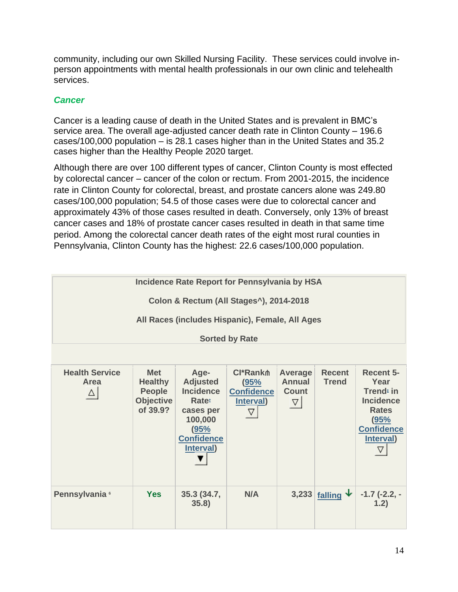community, including our own Skilled Nursing Facility. These services could involve inperson appointments with mental health professionals in our own clinic and telehealth services.

#### *Cancer*

Cancer is a leading cause of death in the United States and is prevalent in BMC's service area. The overall age-adjusted cancer death rate in Clinton County – 196.6 cases/100,000 population – is 28.1 cases higher than in the United States and 35.2 cases higher than the Healthy People 2020 target.

Although there are over 100 different types of cancer, Clinton County is most effected by colorectal cancer – cancer of the colon or rectum. From 2001-2015, the incidence rate in Clinton County for colorectal, breast, and prostate cancers alone was 249.80 cases/100,000 population; 54.5 of those cases were due to colorectal cancer and approximately 43% of those cases resulted in death. Conversely, only 13% of breast cancer cases and 18% of prostate cancer cases resulted in death in that same time period. Among the colorectal cancer death rates of the eight most rural counties in Pennsylvania, Clinton County has the highest: 22.6 cases/100,000 population.

| <b>Incidence Rate Report for Pennsylvania by HSA</b> |                                                                               |                                                                                                                                           |                                                               |                                                        |                               |                                                                                                                                |
|------------------------------------------------------|-------------------------------------------------------------------------------|-------------------------------------------------------------------------------------------------------------------------------------------|---------------------------------------------------------------|--------------------------------------------------------|-------------------------------|--------------------------------------------------------------------------------------------------------------------------------|
|                                                      |                                                                               | Colon & Rectum (All Stages <sup>^</sup> ), 2014-2018                                                                                      |                                                               |                                                        |                               |                                                                                                                                |
|                                                      |                                                                               | All Races (includes Hispanic), Female, All Ages                                                                                           |                                                               |                                                        |                               |                                                                                                                                |
|                                                      |                                                                               |                                                                                                                                           | <b>Sorted by Rate</b>                                         |                                                        |                               |                                                                                                                                |
|                                                      |                                                                               |                                                                                                                                           |                                                               |                                                        |                               |                                                                                                                                |
| <b>Health Service</b><br>Area<br>$\Delta$            | <b>Met</b><br><b>Healthy</b><br><b>People</b><br><b>Objective</b><br>of 39.9? | Age-<br><b>Adjusted</b><br><b>Incidence</b><br><b>Rate</b> <sup>t</sup><br>cases per<br>100,000<br>(95%<br><b>Confidence</b><br>Interval) | <b>CI*Rank</b><br>(95%<br><b>Confidence</b><br>Interval)<br>∇ | Average<br><b>Annual</b><br><b>Count</b><br>$ \nabla $ | <b>Recent</b><br><b>Trend</b> | <b>Recent 5-</b><br>Year<br><b>Trend</b> in<br><b>Incidence</b><br><b>Rates</b><br>(95%<br><b>Confidence</b><br>Interval)<br>▽ |
| Pennsylvania <sup>6</sup>                            | <b>Yes</b>                                                                    | 35.3 (34.7,<br>35.8)                                                                                                                      | N/A                                                           |                                                        | 3,233 falling $\downarrow$    | $-1.7$ (-2.2, -<br>1.2)                                                                                                        |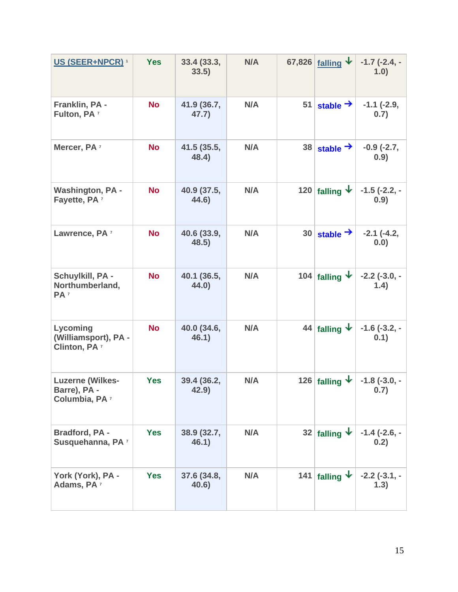| <b>US (SEER+NPCR) 1</b>                                              | <b>Yes</b> | 33.4(33.3,<br>33.5)  | N/A |    | 67,826 <u>falling</u> $\downarrow$ | $-1.7$ ( $-2.4$ , $-$<br>1.0) |
|----------------------------------------------------------------------|------------|----------------------|-----|----|------------------------------------|-------------------------------|
| Franklin, PA -<br>Fulton, PA <sup>7</sup>                            | <b>No</b>  | 41.9 (36.7,<br>47.7) | N/A | 51 | stable $\rightarrow$               | $-1.1$ ( $-2.9$ ,<br>0.7)     |
| Mercer, PA <sup>7</sup>                                              | <b>No</b>  | 41.5 (35.5,<br>48.4) | N/A | 38 | stable $\rightarrow$               | $-0.9$ $(-2.7,$<br>0.9)       |
| <b>Washington, PA -</b><br>Fayette, PA <sup>7</sup>                  | <b>No</b>  | 40.9 (37.5,<br>44.6) | N/A |    | 120 falling $\mathbf{\psi}$        | $-1.5$ ( $-2.2$ , $-$<br>0.9) |
| Lawrence, PA <sup>7</sup>                                            | <b>No</b>  | 40.6 (33.9,<br>48.5) | N/A | 30 | stable $\rightarrow$               | $-2.1$ $(-4.2,$<br>0.0)       |
| Schuylkill, PA -<br>Northumberland,<br>PA <sup>7</sup>               | <b>No</b>  | 40.1 (36.5,<br>44.0) | N/A |    | 104 falling $\star$                | $-2.2$ ( $-3.0, -$<br>1.4)    |
| Lycoming<br>(Williamsport), PA -<br>Clinton, PA <sup>7</sup>         | <b>No</b>  | 40.0 (34.6,<br>46.1) | N/A |    | 44 falling $\downarrow$            | $-1.6$ ( $-3.2$ , $-$<br>0.1) |
| <b>Luzerne (Wilkes-</b><br>Barre), PA -<br>Columbia, PA <sup>7</sup> | <b>Yes</b> | 39.4 (36.2,<br>42.9) | N/A |    | 126 falling $\downarrow$           | $-1.8$ ( $-3.0, -$<br>0.7)    |
| Bradford, PA -<br>Susquehanna, PA <sup>7</sup>                       | <b>Yes</b> | 38.9 (32.7,<br>46.1) | N/A |    | 32 falling $\downarrow$            | $-1.4$ ( $-2.6$ , $-$<br>0.2) |
| York (York), PA -<br>Adams, PA <sup>7</sup>                          | <b>Yes</b> | 37.6 (34.8,<br>40.6) | N/A |    | 141 falling $\star$                | $-2.2$ ( $-3.1$ , $-$<br>1.3) |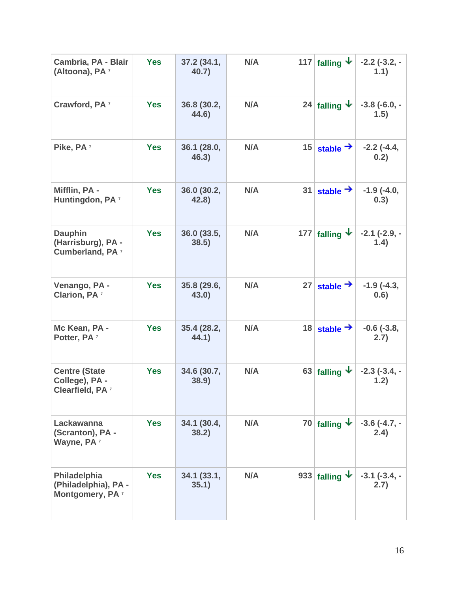| Cambria, PA - Blair<br>(Altoona), PA <sup>7</sup>                     | <b>Yes</b> | 37.2 (34.1,<br>40.7) | N/A |     | 117 falling $\downarrow$   | $-2.2$ ( $-3.2$ , $-$<br>1.1) |
|-----------------------------------------------------------------------|------------|----------------------|-----|-----|----------------------------|-------------------------------|
| Crawford, PA <sup>7</sup>                                             | <b>Yes</b> | 36.8 (30.2,<br>44.6) | N/A |     | 24 falling $\downarrow$    | $-3.8$ ( $-6.0, -$<br>(1.5)   |
| Pike, PA <sup>7</sup>                                                 | <b>Yes</b> | 36.1 (28.0,<br>46.3) | N/A | 15  | stable $\rightarrow$       | $-2.2$ ( $-4.4$ ,<br>0.2)     |
| Mifflin, PA -<br>Huntingdon, PA <sup>7</sup>                          | <b>Yes</b> | 36.0 (30.2,<br>42.8) | N/A | 31  | stable $\rightarrow$       | $-1.9$ $(-4.0,$<br>0.3)       |
| <b>Dauphin</b><br>(Harrisburg), PA -<br>Cumberland, PA <sup>7</sup>   | <b>Yes</b> | 36.0 (33.5,<br>38.5) | N/A | 177 | falling $\mathbf{\psi}$    | $-2.1$ ( $-2.9$ , $-$<br>1.4) |
| Venango, PA -<br><b>Clarion, PA 7</b>                                 | <b>Yes</b> | 35.8 (29.6,<br>43.0) | N/A | 27  | stable $\rightarrow$       | $-1.9$ ( $-4.3$ ,<br>0.6)     |
| Mc Kean, PA -<br>Potter, PA <sup>7</sup>                              | <b>Yes</b> | 35.4 (28.2,<br>44.1) | N/A | 18  | stable $\rightarrow$       | $-0.6$ $(-3.8,$<br>2.7)       |
| <b>Centre (State</b><br>College), PA -<br>Clearfield, PA <sup>7</sup> | <b>Yes</b> | 34.6 (30.7,<br>38.9) | N/A |     | 63 falling $\mathbf{\psi}$ | $-2.3$ ( $-3.4$ , $-$<br>1.2) |
| Lackawanna<br>(Scranton), PA -<br>Wayne, PA <sup>7</sup>              | <b>Yes</b> | 34.1 (30.4,<br>38.2) | N/A |     | 70 falling $\star$         | $-3.6$ ( $-4.7$ , $-$<br>2.4) |
| Philadelphia<br>(Philadelphia), PA -<br>Montgomery, PA <sup>7</sup>   | <b>Yes</b> | 34.1(33.1,<br>35.1)  | N/A |     | 933 falling $\star$        | $-3.1$ $(-3.4, -$<br>2.7)     |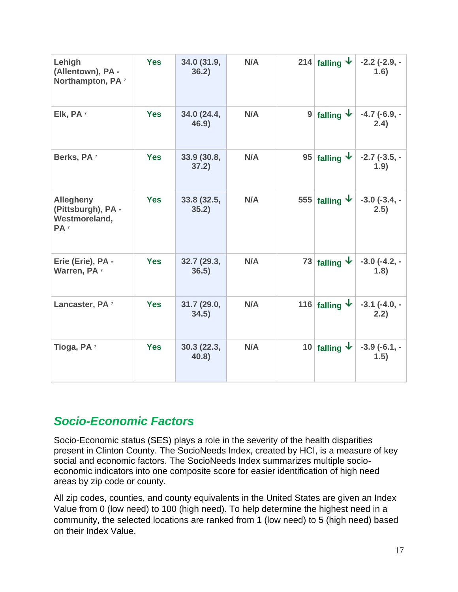| Lehigh<br>(Allentown), PA -<br>Northampton, PA <sup>7</sup>                | <b>Yes</b> | 34.0 (31.9,<br>36.2) | N/A | 214 falling $\vert \cdot \vert$ | $-2.2$ (-2.9, -<br>1.6)       |
|----------------------------------------------------------------------------|------------|----------------------|-----|---------------------------------|-------------------------------|
| Elk, PA <sup>7</sup>                                                       | <b>Yes</b> | 34.0 (24.4,<br>46.9) | N/A | 9 falling $\vert \cdot \vert$   | $-4.7$ (-6.9, -<br>2.4)       |
| Berks, PA <sup>7</sup>                                                     | <b>Yes</b> | 33.9 (30.8,<br>37.2) | N/A | 95 falling $\downarrow$         | $-2.7$ ( $-3.5$ , $-$<br>1.9) |
| <b>Allegheny</b><br>(Pittsburgh), PA -<br>Westmoreland,<br>PA <sup>7</sup> | <b>Yes</b> | 33.8 (32.5,<br>35.2) | N/A | 555 falling $\downarrow$        | $-3.0$ ( $-3.4$ , $-$<br>2.5) |
| Erie (Erie), PA -<br>Warren, PA <sup>7</sup>                               | <b>Yes</b> | 32.7 (29.3,<br>36.5) | N/A | 73 falling $\downarrow$         | $-3.0$ ( $-4.2$ , $-$<br>1.8) |
| Lancaster, PA <sup>7</sup>                                                 | <b>Yes</b> | 31.7 (29.0,<br>34.5) | N/A | 116 falling $\mathbf{\psi}$     | $-3.1$ ( $-4.0, -$<br>2.2)    |
| Tioga, PA <sup>7</sup>                                                     | <b>Yes</b> | 30.3(22.3,<br>40.8   | N/A | 10 falling $\mathbf{\dot{v}}$   | $-3.9$ ( $-6.1$ , $-$<br>1.5) |

## *Socio-Economic Factors*

Socio-Economic status (SES) plays a role in the severity of the health disparities present in Clinton County. The SocioNeeds Index, created by HCI, is a measure of key social and economic factors. The SocioNeeds Index summarizes multiple socioeconomic indicators into one composite score for easier identification of high need areas by zip code or county.

All zip codes, counties, and county equivalents in the United States are given an Index Value from 0 (low need) to 100 (high need). To help determine the highest need in a community, the selected locations are ranked from 1 (low need) to 5 (high need) based on their Index Value.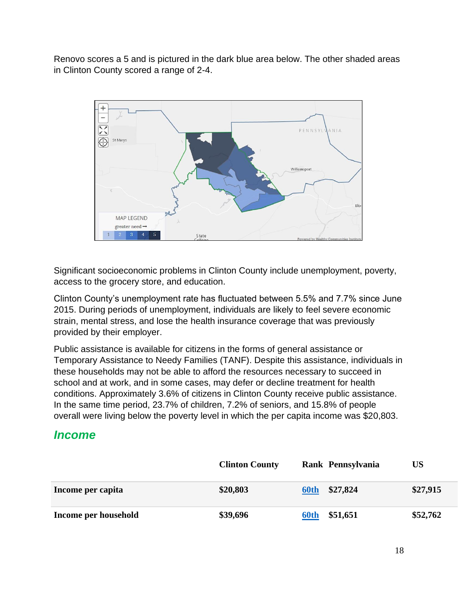Renovo scores a 5 and is pictured in the dark blue area below. The other shaded areas in Clinton County scored a range of 2-4.



Significant socioeconomic problems in Clinton County include unemployment, poverty, access to the grocery store, and education.

Clinton County's unemployment rate has fluctuated between 5.5% and 7.7% since June 2015. During periods of unemployment, individuals are likely to feel severe economic strain, mental stress, and lose the health insurance coverage that was previously provided by their employer.

Public assistance is available for citizens in the forms of general assistance or Temporary Assistance to Needy Families (TANF). Despite this assistance, individuals in these households may not be able to afford the resources necessary to succeed in school and at work, and in some cases, may defer or decline treatment for health conditions. Approximately 3.6% of citizens in Clinton County receive public assistance. In the same time period, 23.7% of children, 7.2% of seniors, and 15.8% of people overall were living below the poverty level in which the per capita income was \$20,803.

## *Income*

|                      | <b>Clinton County</b> | Rank Pennsylvania | US       |
|----------------------|-----------------------|-------------------|----------|
| Income per capita    | \$20,803              | \$27,824<br>60th  | \$27,915 |
| Income per household | \$39,696              | \$51,651<br>60th  | \$52,762 |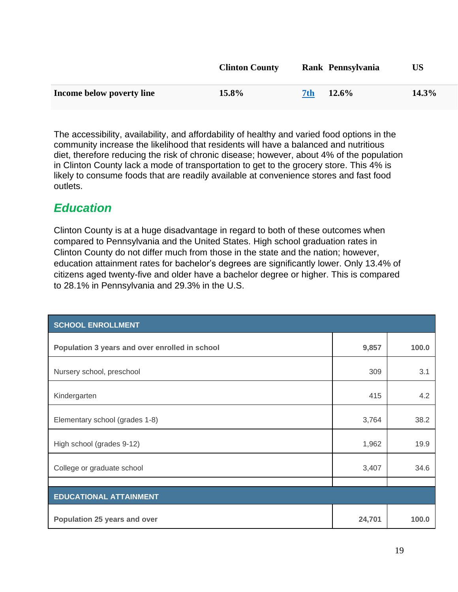|                           | <b>Clinton County</b> |     | Rank Pennsylvania | US       |
|---------------------------|-----------------------|-----|-------------------|----------|
| Income below poverty line | 15.8%                 | 7th | $12.6\%$          | $14.3\%$ |

The accessibility, availability, and affordability of healthy and varied food options in the community increase the likelihood that residents will have a balanced and nutritious diet, therefore reducing the risk of chronic disease; however, about 4% of the population in Clinton County lack a mode of transportation to get to the grocery store. This 4% is likely to consume foods that are readily available at convenience stores and fast food outlets.

# *Education*

Clinton County is at a huge disadvantage in regard to both of these outcomes when compared to Pennsylvania and the United States. High school graduation rates in Clinton County do not differ much from those in the state and the nation; however, education attainment rates for bachelor's degrees are significantly lower. Only 13.4% of citizens aged twenty-five and older have a bachelor degree or higher. This is compared to 28.1% in Pennsylvania and 29.3% in the U.S.

| <b>SCHOOL ENROLLMENT</b>                       |        |       |
|------------------------------------------------|--------|-------|
| Population 3 years and over enrolled in school | 9,857  | 100.0 |
| Nursery school, preschool                      | 309    | 3.1   |
| Kindergarten                                   | 415    | 4.2   |
| Elementary school (grades 1-8)                 | 3,764  | 38.2  |
| High school (grades 9-12)                      | 1,962  | 19.9  |
| College or graduate school                     | 3,407  | 34.6  |
|                                                |        |       |
| <b>EDUCATIONAL ATTAINMENT</b>                  |        |       |
| Population 25 years and over                   | 24,701 | 100.0 |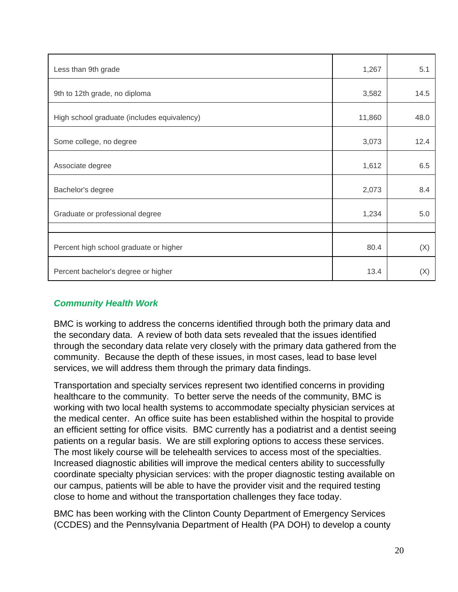| Less than 9th grade                         | 1,267  | 5.1  |
|---------------------------------------------|--------|------|
| 9th to 12th grade, no diploma               | 3,582  | 14.5 |
| High school graduate (includes equivalency) | 11,860 | 48.0 |
| Some college, no degree                     | 3,073  | 12.4 |
| Associate degree                            | 1,612  | 6.5  |
| Bachelor's degree                           | 2,073  | 8.4  |
| Graduate or professional degree             | 1,234  | 5.0  |
|                                             |        |      |
| Percent high school graduate or higher      | 80.4   | (X)  |
| Percent bachelor's degree or higher         | 13.4   | (X)  |

#### *Community Health Work*

BMC is working to address the concerns identified through both the primary data and the secondary data. A review of both data sets revealed that the issues identified through the secondary data relate very closely with the primary data gathered from the community. Because the depth of these issues, in most cases, lead to base level services, we will address them through the primary data findings.

Transportation and specialty services represent two identified concerns in providing healthcare to the community. To better serve the needs of the community, BMC is working with two local health systems to accommodate specialty physician services at the medical center. An office suite has been established within the hospital to provide an efficient setting for office visits. BMC currently has a podiatrist and a dentist seeing patients on a regular basis. We are still exploring options to access these services. The most likely course will be telehealth services to access most of the specialties. Increased diagnostic abilities will improve the medical centers ability to successfully coordinate specialty physician services: with the proper diagnostic testing available on our campus, patients will be able to have the provider visit and the required testing close to home and without the transportation challenges they face today.

BMC has been working with the Clinton County Department of Emergency Services (CCDES) and the Pennsylvania Department of Health (PA DOH) to develop a county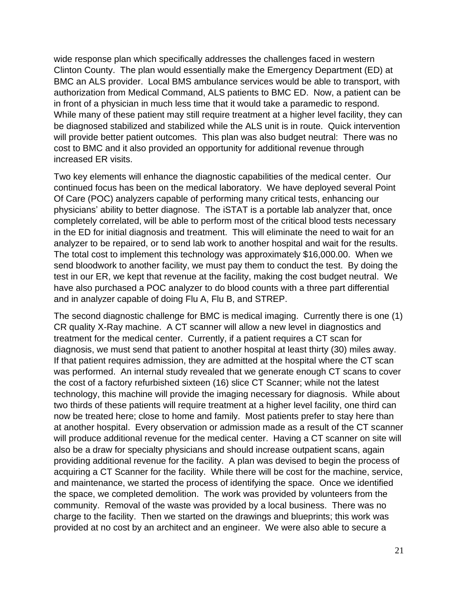wide response plan which specifically addresses the challenges faced in western Clinton County. The plan would essentially make the Emergency Department (ED) at BMC an ALS provider. Local BMS ambulance services would be able to transport, with authorization from Medical Command, ALS patients to BMC ED. Now, a patient can be in front of a physician in much less time that it would take a paramedic to respond. While many of these patient may still require treatment at a higher level facility, they can be diagnosed stabilized and stabilized while the ALS unit is in route. Quick intervention will provide better patient outcomes. This plan was also budget neutral: There was no cost to BMC and it also provided an opportunity for additional revenue through increased ER visits.

Two key elements will enhance the diagnostic capabilities of the medical center. Our continued focus has been on the medical laboratory. We have deployed several Point Of Care (POC) analyzers capable of performing many critical tests, enhancing our physicians' ability to better diagnose. The iSTAT is a portable lab analyzer that, once completely correlated, will be able to perform most of the critical blood tests necessary in the ED for initial diagnosis and treatment. This will eliminate the need to wait for an analyzer to be repaired, or to send lab work to another hospital and wait for the results. The total cost to implement this technology was approximately \$16,000.00. When we send bloodwork to another facility, we must pay them to conduct the test. By doing the test in our ER, we kept that revenue at the facility, making the cost budget neutral. We have also purchased a POC analyzer to do blood counts with a three part differential and in analyzer capable of doing Flu A, Flu B, and STREP.

The second diagnostic challenge for BMC is medical imaging. Currently there is one (1) CR quality X-Ray machine. A CT scanner will allow a new level in diagnostics and treatment for the medical center. Currently, if a patient requires a CT scan for diagnosis, we must send that patient to another hospital at least thirty (30) miles away. If that patient requires admission, they are admitted at the hospital where the CT scan was performed. An internal study revealed that we generate enough CT scans to cover the cost of a factory refurbished sixteen (16) slice CT Scanner; while not the latest technology, this machine will provide the imaging necessary for diagnosis. While about two thirds of these patients will require treatment at a higher level facility, one third can now be treated here; close to home and family. Most patients prefer to stay here than at another hospital. Every observation or admission made as a result of the CT scanner will produce additional revenue for the medical center. Having a CT scanner on site will also be a draw for specialty physicians and should increase outpatient scans, again providing additional revenue for the facility. A plan was devised to begin the process of acquiring a CT Scanner for the facility. While there will be cost for the machine, service, and maintenance, we started the process of identifying the space. Once we identified the space, we completed demolition. The work was provided by volunteers from the community. Removal of the waste was provided by a local business. There was no charge to the facility. Then we started on the drawings and blueprints; this work was provided at no cost by an architect and an engineer. We were also able to secure a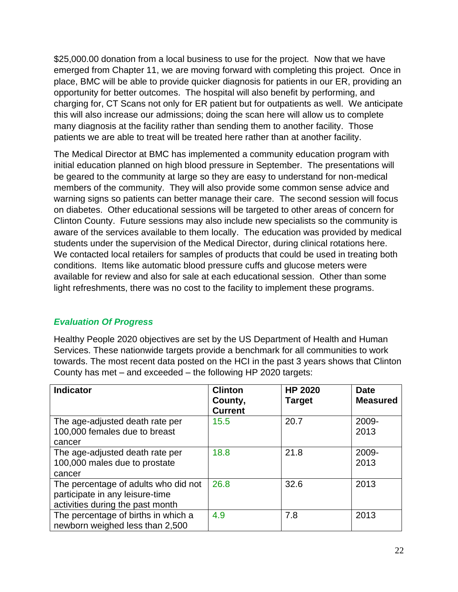\$25,000.00 donation from a local business to use for the project. Now that we have emerged from Chapter 11, we are moving forward with completing this project. Once in place, BMC will be able to provide quicker diagnosis for patients in our ER, providing an opportunity for better outcomes. The hospital will also benefit by performing, and charging for, CT Scans not only for ER patient but for outpatients as well. We anticipate this will also increase our admissions; doing the scan here will allow us to complete many diagnosis at the facility rather than sending them to another facility. Those patients we are able to treat will be treated here rather than at another facility.

The Medical Director at BMC has implemented a community education program with initial education planned on high blood pressure in September. The presentations will be geared to the community at large so they are easy to understand for non-medical members of the community. They will also provide some common sense advice and warning signs so patients can better manage their care. The second session will focus on diabetes. Other educational sessions will be targeted to other areas of concern for Clinton County. Future sessions may also include new specialists so the community is aware of the services available to them locally. The education was provided by medical students under the supervision of the Medical Director, during clinical rotations here. We contacted local retailers for samples of products that could be used in treating both conditions. Items like automatic blood pressure cuffs and glucose meters were available for review and also for sale at each educational session. Other than some light refreshments, there was no cost to the facility to implement these programs.

#### *Evaluation Of Progress*

Healthy People 2020 objectives are set by the US Department of Health and Human Services. These nationwide targets provide a benchmark for all communities to work towards. The most recent data posted on the HCI in the past 3 years shows that Clinton County has met – and exceeded – the following HP 2020 targets:

| <b>Indicator</b>                                                                                            | <b>Clinton</b><br>County,<br><b>Current</b> | <b>HP 2020</b><br><b>Target</b> | <b>Date</b><br><b>Measured</b> |
|-------------------------------------------------------------------------------------------------------------|---------------------------------------------|---------------------------------|--------------------------------|
| The age-adjusted death rate per<br>100,000 females due to breast<br>cancer                                  | 15.5                                        | 20.7                            | 2009-<br>2013                  |
| The age-adjusted death rate per<br>100,000 males due to prostate<br>cancer                                  | 18.8                                        | 21.8                            | 2009-<br>2013                  |
| The percentage of adults who did not<br>participate in any leisure-time<br>activities during the past month | 26.8                                        | 32.6                            | 2013                           |
| The percentage of births in which a<br>newborn weighed less than 2,500                                      | 4.9                                         | 7.8                             | 2013                           |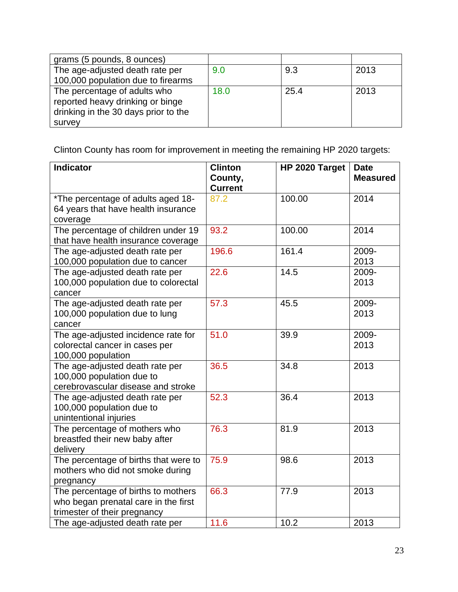| grams (5 pounds, 8 ounces)           |      |      |      |
|--------------------------------------|------|------|------|
| The age-adjusted death rate per      | 9.0  | 9.3  | 2013 |
| 100,000 population due to firearms   |      |      |      |
| The percentage of adults who         | 18.0 | 25.4 | 2013 |
| reported heavy drinking or binge     |      |      |      |
| drinking in the 30 days prior to the |      |      |      |
| survey                               |      |      |      |

Clinton County has room for improvement in meeting the remaining HP 2020 targets:

| <b>Indicator</b>                                             | <b>Clinton</b><br>County, | HP 2020 Target | <b>Date</b><br><b>Measured</b> |
|--------------------------------------------------------------|---------------------------|----------------|--------------------------------|
| *The percentage of adults aged 18-                           | <b>Current</b><br>87.2    | 100.00         | 2014                           |
| 64 years that have health insurance                          |                           |                |                                |
| coverage                                                     |                           |                |                                |
| The percentage of children under 19                          | 93.2                      | 100.00         | 2014                           |
| that have health insurance coverage                          |                           |                |                                |
| The age-adjusted death rate per                              | 196.6                     | 161.4          | 2009-                          |
| 100,000 population due to cancer                             |                           |                | 2013                           |
| The age-adjusted death rate per                              | 22.6                      | 14.5           | 2009-                          |
| 100,000 population due to colorectal<br>cancer               |                           |                | 2013                           |
| The age-adjusted death rate per                              | 57.3                      | 45.5           | 2009-                          |
| 100,000 population due to lung                               |                           |                | 2013                           |
| cancer                                                       |                           |                |                                |
| The age-adjusted incidence rate for                          | 51.0                      | 39.9           | 2009-                          |
| colorectal cancer in cases per                               |                           |                | 2013                           |
| 100,000 population                                           |                           |                |                                |
| The age-adjusted death rate per                              | 36.5                      | 34.8           | 2013                           |
| 100,000 population due to                                    |                           |                |                                |
| cerebrovascular disease and stroke                           |                           |                |                                |
| The age-adjusted death rate per<br>100,000 population due to | 52.3                      | 36.4           | 2013                           |
| unintentional injuries                                       |                           |                |                                |
| The percentage of mothers who                                | 76.3                      | 81.9           | 2013                           |
| breastfed their new baby after                               |                           |                |                                |
| delivery                                                     |                           |                |                                |
| The percentage of births that were to                        | 75.9                      | 98.6           | 2013                           |
| mothers who did not smoke during                             |                           |                |                                |
| pregnancy                                                    |                           |                |                                |
| The percentage of births to mothers                          | 66.3                      | 77.9           | 2013                           |
| who began prenatal care in the first                         |                           |                |                                |
| trimester of their pregnancy                                 |                           |                |                                |
| The age-adjusted death rate per                              | 11.6                      | 10.2           | 2013                           |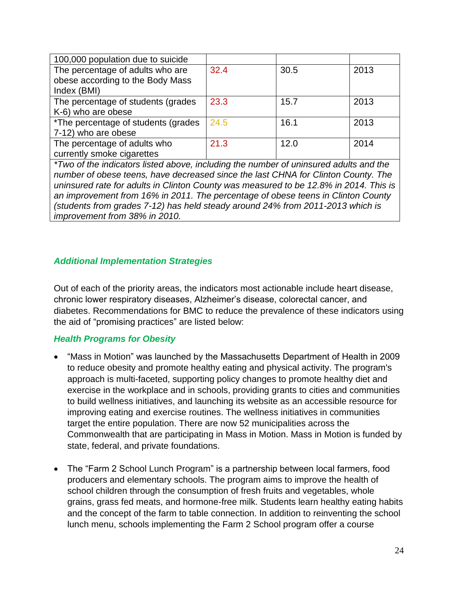| 100,000 population due to suicide    |      |      |      |
|--------------------------------------|------|------|------|
| The percentage of adults who are     | 32.4 | 30.5 | 2013 |
| obese according to the Body Mass     |      |      |      |
| Index (BMI)                          |      |      |      |
| The percentage of students (grades   | 23.3 | 15.7 | 2013 |
| K-6) who are obese                   |      |      |      |
| *The percentage of students (grades) | 24.5 | 16.1 | 2013 |
| 7-12) who are obese                  |      |      |      |
| The percentage of adults who         | 21.3 | 12.0 | 2014 |
| currently smoke cigarettes           |      |      |      |

*\*Two of the indicators listed above, including the number of uninsured adults and the number of obese teens, have decreased since the last CHNA for Clinton County. The uninsured rate for adults in Clinton County was measured to be 12.8% in 2014. This is an improvement from 16% in 2011. The percentage of obese teens in Clinton County (students from grades 7-12) has held steady around 24% from 2011-2013 which is improvement from 38% in 2010.*

#### *Additional Implementation Strategies*

Out of each of the priority areas, the indicators most actionable include heart disease, chronic lower respiratory diseases, Alzheimer's disease, colorectal cancer, and diabetes. Recommendations for BMC to reduce the prevalence of these indicators using the aid of "promising practices" are listed below:

#### *Health Programs for Obesity*

- "Mass in Motion" was launched by the Massachusetts Department of Health in 2009 to reduce obesity and promote healthy eating and physical activity. The program's approach is multi-faceted, supporting policy changes to promote healthy diet and exercise in the workplace and in schools, providing grants to cities and communities to build wellness initiatives, and launching its website as an accessible resource for improving eating and exercise routines. The wellness initiatives in communities target the entire population. There are now 52 municipalities across the Commonwealth that are participating in Mass in Motion. Mass in Motion is funded by state, federal, and private foundations.
- The "Farm 2 School Lunch Program" is a partnership between local farmers, food producers and elementary schools. The program aims to improve the health of school children through the consumption of fresh fruits and vegetables, whole grains, grass fed meats, and hormone-free milk. Students learn healthy eating habits and the concept of the farm to table connection. In addition to reinventing the school lunch menu, schools implementing the Farm 2 School program offer a course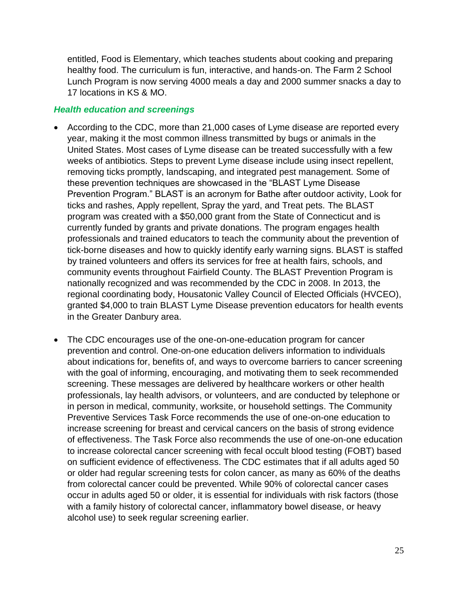entitled, Food is Elementary, which teaches students about cooking and preparing healthy food. The curriculum is fun, interactive, and hands-on. The Farm 2 School Lunch Program is now serving 4000 meals a day and 2000 summer snacks a day to 17 locations in KS & MO.

#### *Health education and screenings*

- According to the CDC, more than 21,000 cases of Lyme disease are reported every year, making it the most common illness transmitted by bugs or animals in the United States. Most cases of Lyme disease can be treated successfully with a few weeks of antibiotics. Steps to prevent Lyme disease include using insect repellent, removing ticks promptly, landscaping, and integrated pest management. Some of these prevention techniques are showcased in the "BLAST Lyme Disease Prevention Program." BLAST is an acronym for Bathe after outdoor activity, Look for ticks and rashes, Apply repellent, Spray the yard, and Treat pets. The BLAST program was created with a \$50,000 grant from the State of Connecticut and is currently funded by grants and private donations. The program engages health professionals and trained educators to teach the community about the prevention of tick-borne diseases and how to quickly identify early warning signs. BLAST is staffed by trained volunteers and offers its services for free at health fairs, schools, and community events throughout Fairfield County. The BLAST Prevention Program is nationally recognized and was recommended by the CDC in 2008. In 2013, the regional coordinating body, Housatonic Valley Council of Elected Officials (HVCEO), granted \$4,000 to train BLAST Lyme Disease prevention educators for health events in the Greater Danbury area.
- The CDC encourages use of the one-on-one-education program for cancer prevention and control. One-on-one education delivers information to individuals about indications for, benefits of, and ways to overcome barriers to cancer screening with the goal of informing, encouraging, and motivating them to seek recommended screening. These messages are delivered by healthcare workers or other health professionals, lay health advisors, or volunteers, and are conducted by telephone or in person in medical, community, worksite, or household settings. The Community Preventive Services Task Force recommends the use of one-on-one education to increase screening for breast and cervical cancers on the basis of strong evidence of effectiveness. The Task Force also recommends the use of one-on-one education to increase colorectal cancer screening with fecal occult blood testing (FOBT) based on sufficient evidence of effectiveness. The CDC estimates that if all adults aged 50 or older had regular screening tests for colon cancer, as many as 60% of the deaths from colorectal cancer could be prevented. While 90% of colorectal cancer cases occur in adults aged 50 or older, it is essential for individuals with risk factors (those with a family history of colorectal cancer, inflammatory bowel disease, or heavy alcohol use) to seek regular screening earlier.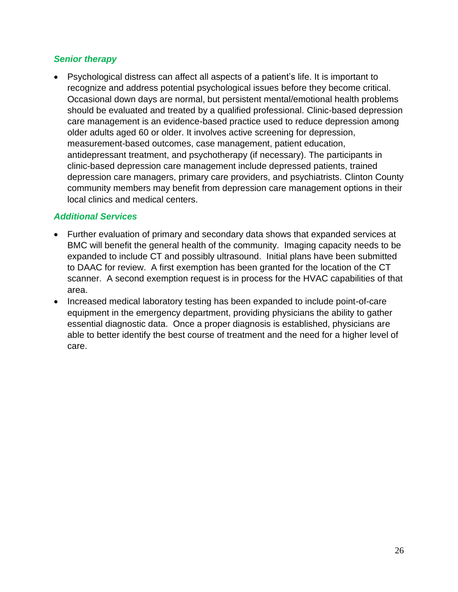#### *Senior therapy*

• Psychological distress can affect all aspects of a patient's life. It is important to recognize and address potential psychological issues before they become critical. Occasional down days are normal, but persistent mental/emotional health problems should be evaluated and treated by a qualified professional. Clinic-based depression care management is an evidence-based practice used to reduce depression among older adults aged 60 or older. It involves active screening for depression, measurement-based outcomes, case management, patient education, antidepressant treatment, and psychotherapy (if necessary). The participants in clinic-based depression care management include depressed patients, trained depression care managers, primary care providers, and psychiatrists. Clinton County community members may benefit from depression care management options in their local clinics and medical centers.

#### *Additional Services*

- Further evaluation of primary and secondary data shows that expanded services at BMC will benefit the general health of the community. Imaging capacity needs to be expanded to include CT and possibly ultrasound. Initial plans have been submitted to DAAC for review. A first exemption has been granted for the location of the CT scanner. A second exemption request is in process for the HVAC capabilities of that area.
- Increased medical laboratory testing has been expanded to include point-of-care equipment in the emergency department, providing physicians the ability to gather essential diagnostic data. Once a proper diagnosis is established, physicians are able to better identify the best course of treatment and the need for a higher level of care.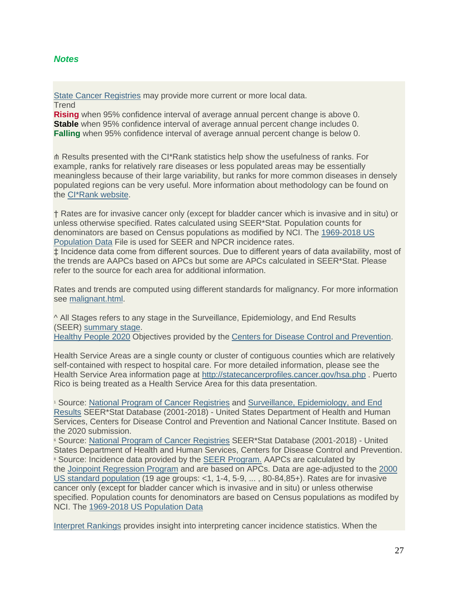#### *Notes*

[State Cancer Registries](https://nccd.cdc.gov/dcpc_Programs/index.aspx#/3) may provide more current or more local data. **Trend** 

**Rising** when 95% confidence interval of average annual percent change is above 0. **Stable** when 95% confidence interval of average annual percent change includes 0. **Falling** when 95% confidence interval of average annual percent change is below 0.

⋔ Results presented with the CI\*Rank statistics help show the usefulness of ranks. For example, ranks for relatively rare diseases or less populated areas may be essentially meaningless because of their large variability, but ranks for more common diseases in densely populated regions can be very useful. More information about methodology can be found on the [CI\\*Rank website.](https://surveillance.cancer.gov/cirank/)

† Rates are for invasive cancer only (except for bladder cancer which is invasive and in situ) or unless otherwise specified. Rates calculated using SEER\*Stat. Population counts for denominators are based on Census populations as modified by NCI. The [1969-2018 US](https://seer.cancer.gov/popdata/)  [Population Data](https://seer.cancer.gov/popdata/) File is used for SEER and NPCR incidence rates.

‡ Incidence data come from different sources. Due to different years of data availability, most of the trends are AAPCs based on APCs but some are APCs calculated in SEER\*Stat. Please refer to the source for each area for additional information.

Rates and trends are computed using different standards for malignancy. For more information see [malignant.html.](https://statecancerprofiles.cancer.gov/malignant.html)

^ All Stages refers to any stage in the Surveillance, Epidemiology, and End Results (SEER) [summary stage.](https://seer.cancer.gov/tools/ssm/)

[Healthy People 2020](https://www.healthypeople.gov/) Objectives provided by the [Centers for Disease Control and Prevention.](https://www.cdc.gov/)

Health Service Areas are a single county or cluster of contiguous counties which are relatively self-contained with respect to hospital care. For more detailed information, please see the Health Service Area information page at <http://statecancerprofiles.cancer.gov/hsa.php> . Puerto Rico is being treated as a Health Service Area for this data presentation.

<sup>1</sup> Source: [National Program of Cancer Registries](https://www.cdc.gov/cancer/npcr/index.htm) and Surveillance, Epidemiology, and End [Results](http://seer.cancer.gov/) SEER\*Stat Database (2001-2018) - United States Department of Health and Human Services, Centers for Disease Control and Prevention and National Cancer Institute. Based on the 2020 submission.

<sup>6</sup> Source: [National Program of Cancer Registries](https://www.cdc.gov/cancer/npcr/index.htm) SEER\*Stat Database (2001-2018) - United States Department of Health and Human Services, Centers for Disease Control and Prevention. <sup>8</sup> Source: Incidence data provided by the [SEER Program.](http://seer.cancer.gov/) AAPCs are calculated by the [Joinpoint Regression Program](https://surveillance.cancer.gov/joinpoint/) and are based on APCs. Data are age-adjusted to the [2000](http://www.seer.cancer.gov/stdpopulations/single_age.html)  [US standard population](http://www.seer.cancer.gov/stdpopulations/single_age.html) (19 age groups: <1, 1-4, 5-9, ... , 80-84,85+). Rates are for invasive cancer only (except for bladder cancer which is invasive and in situ) or unless otherwise specified. Population counts for denominators are based on Census populations as modifed by NCI. The [1969-2018 US Population Data](http://seer.cancer.gov/popdata/)

[Interpret Rankings](https://statecancerprofiles.cancer.gov/interpretrankings.html) provides insight into interpreting cancer incidence statistics. When the